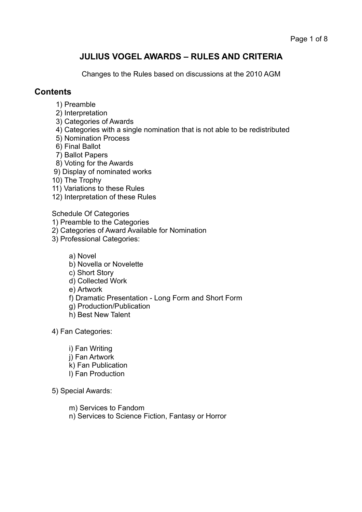# **JULIUS VOGEL AWARDS – RULES AND CRITERIA**

Changes to the Rules based on discussions at the 2010 AGM

### **Contents**

- 1) Preamble
- 2) Interpretation
- 3) Categories of Awards
- 4) Categories with a single nomination that is not able to be redistributed
- 5) Nomination Process
- 6) Final Ballot
- 7) Ballot Papers
- 8) Voting for the Awards
- 9) Display of nominated works
- 10) The Trophy
- 11) Variations to these Rules
- 12) Interpretation of these Rules

Schedule Of Categories

- 1) Preamble to the Categories
- 2) Categories of Award Available for Nomination
- 3) Professional Categories:
	- a) Novel
	- b) Novella or Novelette
	- c) Short Story
	- d) Collected Work
	- e) Artwork
	- f) Dramatic Presentation Long Form and Short Form
	- g) Production/Publication
	- h) Best New Talent

4) Fan Categories:

- i) Fan Writing j) Fan Artwork k) Fan Publication l) Fan Production
- 5) Special Awards:
	- m) Services to Fandom
	- n) Services to Science Fiction, Fantasy or Horror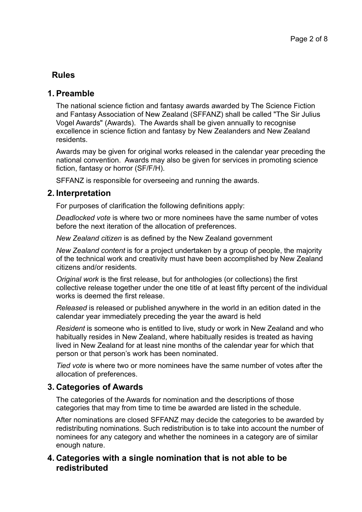# **Rules**

## **1. Preamble**

The national science fiction and fantasy awards awarded by The Science Fiction and Fantasy Association of New Zealand (SFFANZ) shall be called "The Sir Julius Vogel Awards" (Awards). The Awards shall be given annually to recognise excellence in science fiction and fantasy by New Zealanders and New Zealand residents.

Awards may be given for original works released in the calendar year preceding the national convention. Awards may also be given for services in promoting science fiction, fantasy or horror (SF/F/H).

SFFANZ is responsible for overseeing and running the awards.

## **2. Interpretation**

For purposes of clarification the following definitions apply:

*Deadlocked vote* is where two or more nominees have the same number of votes before the next iteration of the allocation of preferences.

*New Zealand citizen* is as defined by the New Zealand government

*New Zealand content* is for a project undertaken by a group of people, the majority of the technical work and creativity must have been accomplished by New Zealand citizens and/or residents.

*Original work* is the first release, but for anthologies (or collections) the first collective release together under the one title of at least fifty percent of the individual works is deemed the first release.

*Released* is released or published anywhere in the world in an edition dated in the calendar year immediately preceding the year the award is held

*Resident* is someone who is entitled to live, study or work in New Zealand and who habitually resides in New Zealand, where habitually resides is treated as having lived in New Zealand for at least nine months of the calendar year for which that person or that person's work has been nominated.

*Tied vote* is where two or more nominees have the same number of votes after the allocation of preferences.

## **3. Categories of Awards**

The categories of the Awards for nomination and the descriptions of those categories that may from time to time be awarded are listed in the schedule.

After nominations are closed SFFANZ may decide the categories to be awarded by redistributing nominations. Such redistribution is to take into account the number of nominees for any category and whether the nominees in a category are of similar enough nature.

## **4. Categories with a single nomination that is not able to be redistributed**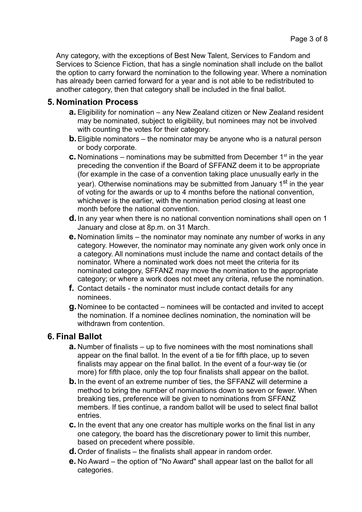Any category, with the exceptions of Best New Talent, Services to Fandom and Services to Science Fiction, that has a single nomination shall include on the ballot the option to carry forward the nomination to the following year. Where a nomination has already been carried forward for a year and is not able to be redistributed to another category, then that category shall be included in the final ballot.

## **5. Nomination Process**

- **a.** Eligibility for nomination any New Zealand citizen or New Zealand resident may be nominated, subject to eligibility, but nominees may not be involved with counting the votes for their category.
- **b.**Eligible nominators the nominator may be anyone who is a natural person or body corporate.
- **c.** Nominations nominations may be submitted from December  $1<sup>st</sup>$  in the year preceding the convention if the Board of SFFANZ deem it to be appropriate (for example in the case of a convention taking place unusually early in the year). Otherwise nominations may be submitted from January 1<sup>st</sup> in the year of voting for the awards or up to 4 months before the national convention, whichever is the earlier, with the nomination period closing at least one month before the national convention.
- **d.**In any year when there is no national convention nominations shall open on 1 January and close at 8p.m. on 31 March.
- **e.** Nomination limits the nominator may nominate any number of works in any category. However, the nominator may nominate any given work only once in a category. All nominations must include the name and contact details of the nominator. Where a nominated work does not meet the criteria for its nominated category, SFFANZ may move the nomination to the appropriate category; or where a work does not meet any criteria, refuse the nomination.
- **f.** Contact details the nominator must include contact details for any nominees.
- **g.**Nominee to be contacted nominees will be contacted and invited to accept the nomination. If a nominee declines nomination, the nomination will be withdrawn from contention.

## **6. Final Ballot**

- **a.** Number of finalists up to five nominees with the most nominations shall appear on the final ballot. In the event of a tie for fifth place, up to seven finalists may appear on the final ballot. In the event of a four-way tie (or more) for fifth place, only the top four finalists shall appear on the ballot.
- **b.** In the event of an extreme number of ties, the SFFANZ will determine a method to bring the number of nominations down to seven or fewer. When breaking ties, preference will be given to nominations from SFFANZ members. If ties continue, a random ballot will be used to select final ballot entries.
- **c.** In the event that any one creator has multiple works on the final list in any one category, the board has the discretionary power to limit this number, based on precedent where possible.
- **d.**Order of finalists the finalists shall appear in random order.
- **e.** No Award the option of "No Award" shall appear last on the ballot for all categories.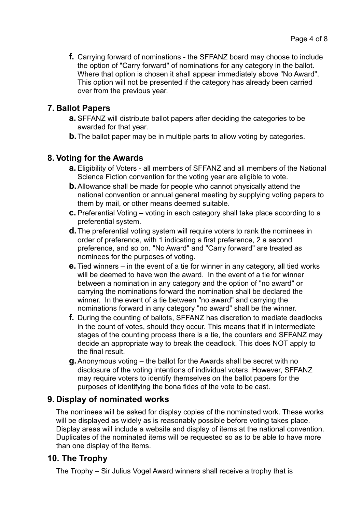**f.** Carrying forward of nominations - the SFFANZ board may choose to include the option of "Carry forward" of nominations for any category in the ballot. Where that option is chosen it shall appear immediately above "No Award". This option will not be presented if the category has already been carried over from the previous year.

## **7. Ballot Papers**

- **a.** SFFANZ will distribute ballot papers after deciding the categories to be awarded for that year.
- **b.** The ballot paper may be in multiple parts to allow voting by categories.

# **8. Voting for the Awards**

- **a.** Eligibility of Voters all members of SFFANZ and all members of the National Science Fiction convention for the voting year are eligible to vote.
- **b.**Allowance shall be made for people who cannot physically attend the national convention or annual general meeting by supplying voting papers to them by mail, or other means deemed suitable.
- **c.** Preferential Voting voting in each category shall take place according to a preferential system.
- **d.**The preferential voting system will require voters to rank the nominees in order of preference, with 1 indicating a first preference, 2 a second preference, and so on. "No Award" and "Carry forward" are treated as nominees for the purposes of voting.
- **e.** Tied winners in the event of a tie for winner in any category, all tied works will be deemed to have won the award. In the event of a tie for winner between a nomination in any category and the option of "no award" or carrying the nominations forward the nomination shall be declared the winner. In the event of a tie between "no award" and carrying the nominations forward in any category "no award" shall be the winner.
- **f.** During the counting of ballots, SFFANZ has discretion to mediate deadlocks in the count of votes, should they occur. This means that if in intermediate stages of the counting process there is a tie, the counters and SFFANZ may decide an appropriate way to break the deadlock. This does NOT apply to the final result.
- **g.**Anonymous voting the ballot for the Awards shall be secret with no disclosure of the voting intentions of individual voters. However, SFFANZ may require voters to identify themselves on the ballot papers for the purposes of identifying the bona fides of the vote to be cast.

# **9. Display of nominated works**

The nominees will be asked for display copies of the nominated work. These works will be displayed as widely as is reasonably possible before voting takes place. Display areas will include a website and display of items at the national convention. Duplicates of the nominated items will be requested so as to be able to have more than one display of the items.

# **10. The Trophy**

The Trophy – Sir Julius Vogel Award winners shall receive a trophy that is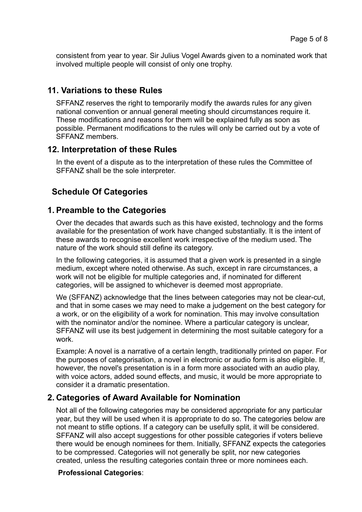consistent from year to year. Sir Julius Vogel Awards given to a nominated work that involved multiple people will consist of only one trophy.

## **11. Variations to these Rules**

SFFANZ reserves the right to temporarily modify the awards rules for any given national convention or annual general meeting should circumstances require it. These modifications and reasons for them will be explained fully as soon as possible. Permanent modifications to the rules will only be carried out by a vote of SFFANZ members.

## **12. Interpretation of these Rules**

In the event of a dispute as to the interpretation of these rules the Committee of SFFANZ shall be the sole interpreter.

# **Schedule Of Categories**

## **1. Preamble to the Categories**

Over the decades that awards such as this have existed, technology and the forms available for the presentation of work have changed substantially. It is the intent of these awards to recognise excellent work irrespective of the medium used. The nature of the work should still define its category.

In the following categories, it is assumed that a given work is presented in a single medium, except where noted otherwise. As such, except in rare circumstances, a work will not be eligible for multiple categories and, if nominated for different categories, will be assigned to whichever is deemed most appropriate.

We (SFFANZ) acknowledge that the lines between categories may not be clear-cut, and that in some cases we may need to make a judgement on the best category for a work, or on the eligibility of a work for nomination. This may involve consultation with the nominator and/or the nominee. Where a particular category is unclear, SFFANZ will use its best judgement in determining the most suitable category for a work.

Example: A novel is a narrative of a certain length, traditionally printed on paper. For the purposes of categorisation, a novel in electronic or audio form is also eligible. If, however, the novel's presentation is in a form more associated with an audio play, with voice actors, added sound effects, and music, it would be more appropriate to consider it a dramatic presentation.

## **2. Categories of Award Available for Nomination**

Not all of the following categories may be considered appropriate for any particular year, but they will be used when it is appropriate to do so. The categories below are not meant to stifle options. If a category can be usefully split, it will be considered. SFFANZ will also accept suggestions for other possible categories if voters believe there would be enough nominees for them. Initially, SFFANZ expects the categories to be compressed. Categories will not generally be split, nor new categories created, unless the resulting categories contain three or more nominees each.

### **Professional Categories**: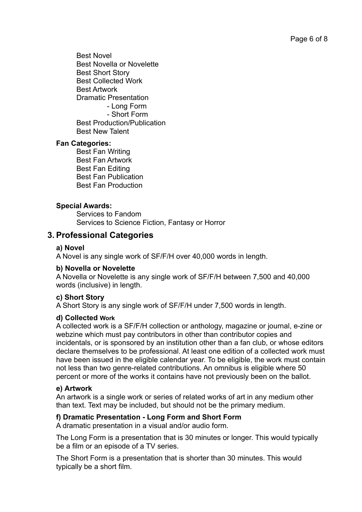Best Novel Best Novella or Novelette Best Short Story Best Collected Work Best Artwork Dramatic Presentation - Long Form - Short Form Best Production/Publication Best New Talent

#### **Fan Categories:**

 Best Fan Writing Best Fan Artwork Best Fan Editing Best Fan Publication Best Fan Production

### **Special Awards:**

 Services to Fandom Services to Science Fiction, Fantasy or Horror

## **3. Professional Categories**

#### **a) Novel**

A Novel is any single work of SF/F/H over 40,000 words in length.

#### **b) Novella or Novelette**

A Novella or Novelette is any single work of SF/F/H between 7,500 and 40,000 words (inclusive) in length.

#### **c) Short Story**

A Short Story is any single work of SF/F/H under 7,500 words in length.

#### **d) Collected Work**

A collected work is a SF/F/H collection or anthology, magazine or journal, e-zine or webzine which must pay contributors in other than contributor copies and incidentals, or is sponsored by an institution other than a fan club, or whose editors declare themselves to be professional. At least one edition of a collected work must have been issued in the eligible calendar year. To be eligible, the work must contain not less than two genre-related contributions. An omnibus is eligible where 50 percent or more of the works it contains have not previously been on the ballot.

#### **e) Artwork**

An artwork is a single work or series of related works of art in any medium other than text. Text may be included, but should not be the primary medium.

### **f) Dramatic Presentation - Long Form and Short Form**

A dramatic presentation in a visual and/or audio form.

The Long Form is a presentation that is 30 minutes or longer. This would typically be a film or an episode of a TV series.

The Short Form is a presentation that is shorter than 30 minutes. This would typically be a short film.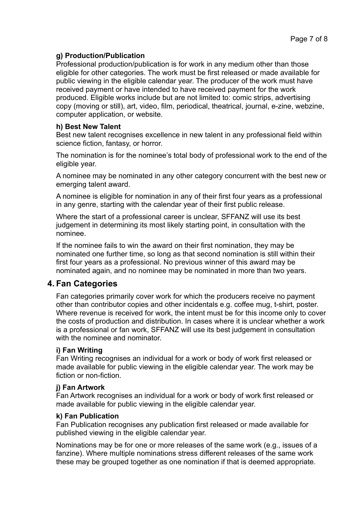#### **g) Production/Publication**

Professional production/publication is for work in any medium other than those eligible for other categories. The work must be first released or made available for public viewing in the eligible calendar year. The producer of the work must have received payment or have intended to have received payment for the work produced. Eligible works include but are not limited to: comic strips, advertising copy (moving or still), art, video, film, periodical, theatrical, journal, e-zine, webzine, computer application, or website.

#### **h) Best New Talent**

Best new talent recognises excellence in new talent in any professional field within science fiction, fantasy, or horror.

The nomination is for the nominee's total body of professional work to the end of the eligible year.

A nominee may be nominated in any other category concurrent with the best new or emerging talent award.

A nominee is eligible for nomination in any of their first four years as a professional in any genre, starting with the calendar year of their first public release.

Where the start of a professional career is unclear, SFFANZ will use its best judgement in determining its most likely starting point, in consultation with the nominee.

If the nominee fails to win the award on their first nomination, they may be nominated one further time, so long as that second nomination is still within their first four years as a professional. No previous winner of this award may be nominated again, and no nominee may be nominated in more than two years.

### **4. Fan Categories**

Fan categories primarily cover work for which the producers receive no payment other than contributor copies and other incidentals e.g. coffee mug, t-shirt, poster. Where revenue is received for work, the intent must be for this income only to cover the costs of production and distribution. In cases where it is unclear whether a work is a professional or fan work, SFFANZ will use its best judgement in consultation with the nominee and nominator

#### **i) Fan Writing**

Fan Writing recognises an individual for a work or body of work first released or made available for public viewing in the eligible calendar year. The work may be fiction or non-fiction.

#### **j) Fan Artwork**

Fan Artwork recognises an individual for a work or body of work first released or made available for public viewing in the eligible calendar year.

#### **k) Fan Publication**

Fan Publication recognises any publication first released or made available for published viewing in the eligible calendar year.

Nominations may be for one or more releases of the same work (e.g., issues of a fanzine). Where multiple nominations stress different releases of the same work these may be grouped together as one nomination if that is deemed appropriate.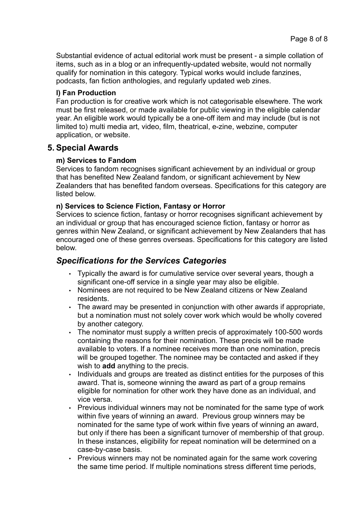Substantial evidence of actual editorial work must be present - a simple collation of items, such as in a blog or an infrequently-updated website, would not normally qualify for nomination in this category. Typical works would include fanzines, podcasts, fan fiction anthologies, and regularly updated web zines.

### **l) Fan Production**

Fan production is for creative work which is not categorisable elsewhere. The work must be first released, or made available for public viewing in the eligible calendar year. An eligible work would typically be a one-off item and may include (but is not limited to) multi media art, video, film, theatrical, e-zine, webzine, computer application, or website.

## **5. Special Awards**

### **m) Services to Fandom**

Services to fandom recognises significant achievement by an individual or group that has benefited New Zealand fandom, or significant achievement by New Zealanders that has benefited fandom overseas. Specifications for this category are listed below.

### **n) Services to Science Fiction, Fantasy or Horror**

Services to science fiction, fantasy or horror recognises significant achievement by an individual or group that has encouraged science fiction, fantasy or horror as genres within New Zealand, or significant achievement by New Zealanders that has encouraged one of these genres overseas. Specifications for this category are listed below.

# *Specifications for the Services Categories*

- Typically the award is for cumulative service over several years, though a significant one-off service in a single year may also be eligible.
- Nominees are not required to be New Zealand citizens or New Zealand residents.
- The award may be presented in conjunction with other awards if appropriate, but a nomination must not solely cover work which would be wholly covered by another category.
- The nominator must supply a written precis of approximately 100-500 words containing the reasons for their nomination. These precis will be made available to voters. If a nominee receives more than one nomination, precis will be grouped together. The nominee may be contacted and asked if they wish to **add** anything to the precis.
- Individuals and groups are treated as distinct entities for the purposes of this award. That is, someone winning the award as part of a group remains eligible for nomination for other work they have done as an individual, and vice versa.
- Previous individual winners may not be nominated for the same type of work within five years of winning an award. Previous group winners may be nominated for the same type of work within five years of winning an award, but only if there has been a significant turnover of membership of that group. In these instances, eligibility for repeat nomination will be determined on a case-by-case basis.
- Previous winners may not be nominated again for the same work covering the same time period. If multiple nominations stress different time periods,